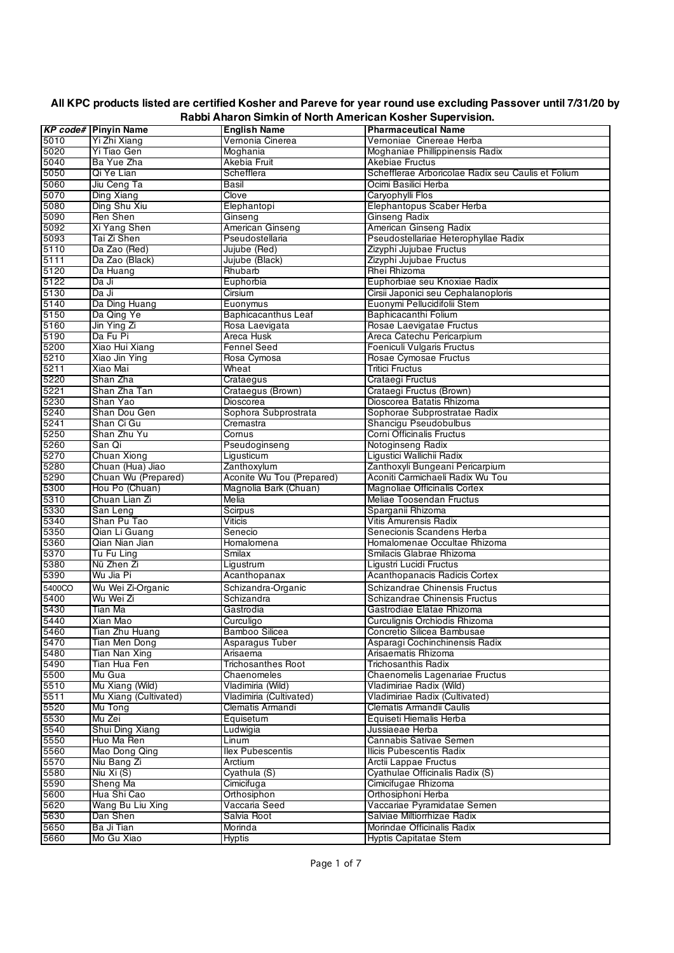|        | <b>KP code# Pinyin Name</b> | <b>English Name</b>        | <br><b>Pharmaceutical Name</b>                     |
|--------|-----------------------------|----------------------------|----------------------------------------------------|
| 5010   | Yi Zhi Xiang                | Vernonia Cinerea           | Vernoniae Cinereae Herba                           |
| 5020   | Yi Tiao Gen                 | Moghania                   | Moghaniae Phillippinensis Radix                    |
| 5040   | Ba Yue Zha                  | Akebia Fruit               | Akebiae Fructus                                    |
| 5050   | Qi Ye Lian                  | Schefflera                 | Schefflerae Arboricolae Radix seu Caulis et Folium |
| 5060   | Jiu Ceng Ta                 | Basil                      | Ocimi Basilici Herba                               |
| 5070   | Ding Xiang                  | Clove                      | Carvophylli Flos                                   |
|        |                             |                            |                                                    |
| 5080   | Ding Shu Xiu                | Elephantopi                | Elephantopus Scaber Herba                          |
| 5090   | Ren Shen                    | Ginseng                    | Ginseng Radix                                      |
| 5092   | Xi Yang Shen                | American Ginseng           | American Ginseng Radix                             |
| 5093   | Tai Zi Shen                 | Pseudostellaria            | Pseudostellariae Heterophyllae Radix               |
| 5110   | Da Zao (Red)                | Jujube (Red)               | Zizyphi Jujubae Fructus                            |
| 5111   | Da Zao (Black)              | Jujube (Black)             | Zizyphi Jujubae Fructus                            |
| 5120   | Da Huang                    | Rhubarb                    | Rhei Rhizoma                                       |
| 5122   | Da Ji                       | Euphorbia                  | Euphorbiae seu Knoxiae Radix                       |
| 5130   | Da Ji                       | Cirsium                    | Cirsii Japonici seu Cephalanoploris                |
| 5140   | Da Ding Huang               | Euonymus                   | Euonymi Pellucidifolii Stem                        |
| 5150   | Da Qing Ye                  | <b>Baphicacanthus Leaf</b> | Baphicacanthi Folium                               |
| 5160   | Jin Ying Zi                 | Rosa Laevigata             | Rosae Laevigatae Fructus                           |
| 5190   | Da Fu Pi                    | Areca Husk                 | Areca Catechu Pericarpium                          |
| 5200   | Xiao Hui Xiang              | <b>Fennel Seed</b>         | Foeniculi Vulgaris Fructus                         |
| 5210   | Xiao Jin Ying               | Rosa Cymosa                | Rosae Cymosae Fructus                              |
| 5211   | Xiao Mai                    | Wheat                      | <b>Tritici Fructus</b>                             |
| 5220   | Shan Zha                    | Crataegus                  | Crataegi Fructus                                   |
| 5221   | Shan Zha Tan                | Crataegus (Brown)          | Crataegi Fructus (Brown)                           |
| 5230   | Shan Yao                    | Dioscorea                  | Dioscorea Batatis Rhizoma                          |
| 5240   | Shan Dou Gen                | Sophora Subprostrata       | Sophorae Subprostratae Radix                       |
| 5241   | Shan Ci Gu                  | Cremastra                  | Shancigu Pseudobulbus                              |
| 5250   | Shan Zhu Yu                 | Cornus                     | Corni Officinalis Fructus                          |
| 5260   | San Qi                      | Pseudoginseng              | Notoginseng Radix                                  |
| 5270   | Chuan Xiong                 | Ligusticum                 | Liqustici Wallichii Radix                          |
| 5280   | Chuan (Hua) Jiao            | Zanthoxylum                | Zanthoxyli Bungeani Pericarpium                    |
| 5290   | Chuan Wu (Prepared)         | Aconite Wu Tou (Prepared)  | Aconiti Carmichaeli Radix Wu Tou                   |
| 5300   | Hou Po (Chuan)              | Magnolia Bark (Chuan)      | Magnoliae Officinalis Cortex                       |
| 5310   | Chuan Lian Zi               | Melia                      | Meliae Toosendan Fructus                           |
| 5330   | San Leng                    | Scirpus                    | Sparganii Rhizoma                                  |
| 5340   | Shan Pu Tao                 | Viticis                    | Vitis Amurensis Radix                              |
| 5350   | Qian Li Guang               | Senecio                    | Senecionis Scandens Herba                          |
| 5360   | Qian Nian Jian              | Homalomena                 | Homalomenae Occultae Rhizoma                       |
| 5370   | Tu Fu Ling                  | Smilax                     | Smilacis Glabrae Rhizoma                           |
| 5380   | Nü Zhen Zi                  | Ligustrum                  | Ligustri Lucidi Fructus                            |
| 5390   | Wu Jia Pi                   | Acanthopanax               | Acanthopanacis Radicis Cortex                      |
| 5400CO | Wu Wei Zi-Organic           | Schizandra-Organic         | Schizandrae Chinensis Fructus                      |
| 5400   | Wu Wei Zi                   | Schizandra                 | Schizandrae Chinensis Fructus                      |
| 5430   | Tian Ma                     | Gastrodia                  | Gastrodiae Elatae Rhizoma                          |
| 5440   | Xian Mao                    | Curculigo                  | Curculignis Orchiodis Rhizoma                      |
| 5460   | Tian Zhu Huang              | Bamboo Silicea             | Concretio Silicea Bambusae                         |
| 5470   | Tian Men Dong               | Asparagus Tuber            | Asparagi Cochinchinensis Radix                     |
| 5480   | Tian Nan Xing               | Arisaema                   | Arisaematis Rhizoma                                |
| 5490   | Tian Hua Fen                | <b>Trichosanthes Root</b>  | Trichosanthis Radix                                |
| 5500   | Mu Gua                      | Chaenomeles                | Chaenomelis Lagenariae Fructus                     |
| 5510   | Mu Xiang (Wild)             | Vladimiria (Wild)          | Vladimiriae Radix (Wild)                           |
| 5511   | Mu Xiang (Cultivated)       | Vladimiria (Cultivated)    | Vladimiriae Radix (Cultivated)                     |
| 5520   | Mu Tong                     | Clematis Armandi           | Clematis Armandii Caulis                           |
| 5530   | Mu Zei                      | Equisetum                  | Equiseti Hiemalis Herba                            |
| 5540   | Shui Ding Xiang             | Ludwigia                   | Jussiaeae Herba                                    |
| 5550   | Huo Ma Ren                  | Linum                      | Cannabis Sativae Semen                             |
| 5560   | Mao Dong Qing               | <b>Ilex Pubescentis</b>    | Ilicis Pubescentis Radix                           |
| 5570   | Niu Bang Zi                 | Arctium                    | Arctii Lappae Fructus                              |
| 5580   | Niu Xi (S)                  | Cyathula (S)               | Cyathulae Officinalis Radix (S)                    |
| 5590   | Sheng Ma                    | Cimicifuga                 | Cimicifugae Rhizoma                                |
| 5600   | Hua Shi Cao                 | Orthosiphon                | Orthosiphoni Herba                                 |
| 5620   | Wang Bu Liu Xing            | Vaccaria Seed              | Vaccariae Pyramidatae Semen                        |
| 5630   | Dan Shen                    | Salvia Root                | Salviae Miltiorrhizae Radix                        |
| 5650   | Ba Ji Tian                  | Morinda                    | Morindae Officinalis Radix                         |
| 5660   | Mo Gu Xiao                  | <b>Hyptis</b>              | <b>Hyptis Capitatae Stem</b>                       |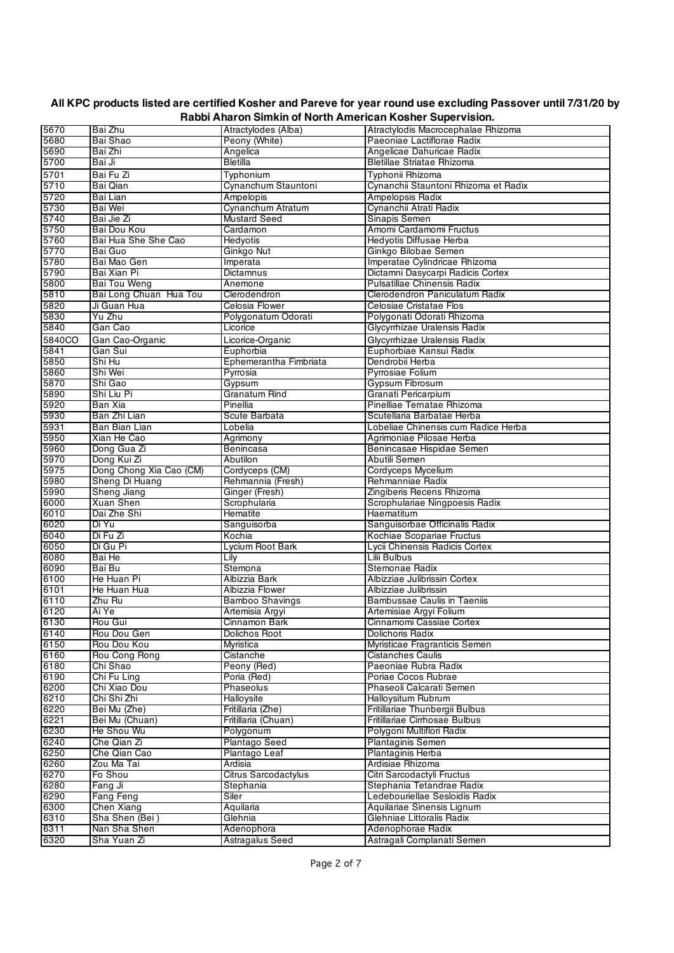| 5670   | Bai Zhu                 | Atractylodes (Alba)    | Atractylodis Macrocephalae Rhizoma   |
|--------|-------------------------|------------------------|--------------------------------------|
|        |                         |                        |                                      |
| 5680   | Bai Shao                | Peony (White)          | Paeoniae Lactiflorae Radix           |
| 5690   | Bai Zhi                 | Angelica               | Angelicae Dahuricae Radix            |
| 5700   | Bai Ji                  | <b>Bletilla</b>        | <b>Bletillae Striatae Rhizoma</b>    |
| 5701   | Bai Fu Zi               | Typhonium              | Typhonii Rhizoma                     |
| 5710   | Bai Qian                | Cynanchum Stauntoni    | Cynanchii Stauntoni Rhizoma et Radix |
| 5720   | Bai Lian                | <b>Ampelopis</b>       | <b>Ampelopsis Radix</b>              |
| 5730   | Bai Wei                 | Cynanchum Atratum      | Cynanchii Atrati Radix               |
| 5740   | Bai Jie Zi              | <b>Mustard Seed</b>    | Sinapis Semen                        |
|        |                         |                        |                                      |
| 5750   | Bai Dou Kou             | Cardamon               | Amomi Cardamomi Fructus              |
| 5760   | Bai Hua She She Cao     | Hedyotis               | Hedyotis Diffusae Herba              |
| 5770   | Bai Guo                 | Ginkgo Nut             | Ginkgo Bilobae Semen                 |
| 5780   | Bai Mao Gen             | Imperata               | Imperatae Cylindricae Rhizoma        |
| 5790   | Bai Xian Pi             | <b>Dictamnus</b>       | Dictamni Dasycarpi Radicis Cortex    |
| 5800   | Bai Tou Weng            | Anemone                | <b>Pulsatillae Chinensis Radix</b>   |
| 5810   | Bai Long Chuan Hua Tou  | Clerodendron           | Clerodendron Paniculatum Radix       |
| 5820   | Ji Guan Hua             | Celosia Flower         | Celosiae Cristatae Flos              |
| 5830   | Yu Zhu                  | Polygonatum Odorati    | Polygonati Odorati Rhizoma           |
| 5840   | Gan Cao                 | Licorice               | Glycyrrhizae Uralensis Radix         |
|        |                         |                        |                                      |
| 5840CO | Gan Cao-Organic         | Licorice-Organic       | Glycyrrhizae Uralensis Radix         |
| 5841   | Gan Sui                 | Euphorbia              | Euphorbiae Kansui Radix              |
| 5850   | Shi Hu                  | Ephemerantha Fimbriata | Dendrobii Herba                      |
| 5860   | Shi Wei                 | Pyrrosia               | Pyrrosiae Folium                     |
| 5870   | Shi Gao                 | Gypsum                 | Gypsum Fibrosum                      |
| 5890   | Shi Liu Pi              | <b>Granatum Rind</b>   | Granati Pericarpium                  |
| 5920   | Ban Xia                 | Pinellia               | Pinelliae Ternatae Rhizoma           |
| 5930   | Ban Zhi Lian            | Scute Barbata          | Scutellaria Barbatae Herba           |
| 5931   | Ban Bian Lian           | Lobelia                | Lobeliae Chinensis cum Radice Herba  |
| 5950   | Xian He Cao             |                        | Agrimoniae Pilosae Herba             |
|        |                         | Agrimony               |                                      |
| 5960   | Dong Gua Zi             | Benincasa              | Benincasae Hispidae Semen            |
| 5970   | Dong Kui Zi             | Abutilon               | Abutili Semen                        |
| 5975   | Dong Chong Xia Cao (CM) | Cordyceps (CM)         | Cordyceps Mycelium                   |
| 5980   | Sheng Di Huang          | Rehmannia (Fresh)      | Rehmanniae Radix                     |
| 5990   | Sheng Jiang             | Ginger (Fresh)         | Zingiberis Recens Rhizoma            |
| 6000   | Xuan Shen               | Scrophularia           | Scrophulariae Ningpoesis Radix       |
| 6010   | Dai Zhe Shi             | Hematite               | Haematitum                           |
| 6020   | Di Yu                   | Sanguisorba            | Sanguisorbae Officinalis Radix       |
| 6040   | Di Fu Zi                | Kochia                 | Kochiae Scopariae Fructus            |
| 6050   | Di Gu Pi                | Lycium Root Bark       | Lycii Chinensis Radicis Cortex       |
| 6080   | Bai He                  |                        | Lilii Bulbus                         |
|        |                         | Lilv                   |                                      |
| 6090   | Bai Bu                  | Stemona                | Stemonae Radix                       |
| 6100   | He Huan Pi              | Albizzia Bark          | Albizziae Julibrissin Cortex         |
| 6101   | He Huan Hua             | Albizzia Flower        | Albizziae Julibrissin                |
| 6110   | Zhu Ru                  | <b>Bamboo Shavings</b> | Bambussae Caulis in Taeniis          |
| 6120   | Ai Ye                   | Artemisia Argyi        | Artemisiae Argyi Folium              |
| 6130   | Rou Gui                 | Cinnamon Bark          | Cinnamomi Cassiae Cortex             |
| 6140   | Rou Dou Gen             | Dolichos Root          | Dolichoris Radix                     |
| 6150   | Rou Dou Kou             | <b>Myristica</b>       | Myristicae Fragranticis Semen        |
| 6160   | Rou Cong Rong           | Cistanche              | <b>Cistanches Caulis</b>             |
| 6180   | Chi Shao                | Peony (Red)            | Paeoniae Rubra Radix                 |
|        |                         |                        | Poriae Cocos Rubrae                  |
| 6190   | Chi Fu Ling             | Poria (Red)            |                                      |
| 6200   | Chi Xiao Dou            | Phaseolus              | Phaseoli Calcarati Semen             |
| 6210   | Chi Shi Zhi             | Halloysite             | Halloysitum Rubrum                   |
| 6220   | Bei Mu (Zhe)            | Fritillaria (Zhe)      | Fritillariae Thunbergii Bulbus       |
| 6221   | Bei Mu (Chuan)          | Fritillaria (Chuan)    | Fritillariae Cirrhosae Bulbus        |
| 6230   | He Shou Wu              | Polygonum              | Polygoni Multiflori Radix            |
| 6240   | Che Qian Zi             | Plantago Seed          | <b>Plantaginis Semen</b>             |
| 6250   | Che Qian Cao            | Plantago Leaf          | Plantaginis Herba                    |
| 6260   | Zou Ma Tai              | Ardisia                | Ardisiae Rhizoma                     |
| 6270   | Fo Shou                 | Citrus Sarcodactylus   | Citri Sarcodactyli Fructus           |
| 6280   |                         | Stephania              | Stephania Tetandrae Radix            |
|        | Fang Ji                 |                        |                                      |
| 6290   | Fang Feng               | Siler                  | Ledebouriellae Sesloidis Radix       |
| 6300   | Chen Xiang              | Aquilaria              | Aquilariae Sinensis Lignum           |
| 6310   | Sha Shen (Bei)          | Glehnia                | Glehniae Littoralis Radix            |
| 6311   | Nan Sha Shen            | Adenophora             | Adenophorae Radix                    |
| 6320   | Sha Yuan Zi             | Astragalus Seed        | Astragali Complanati Semen           |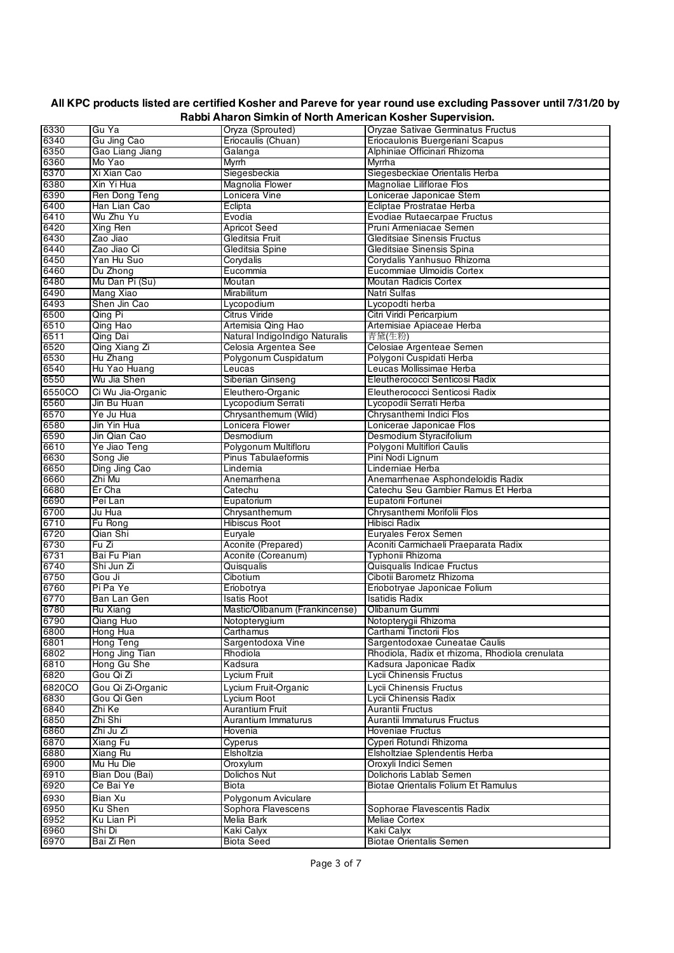| 6330   | Gu Ya             | Oryza (Sprouted)               | Oryzae Sativae Germinatus Fructus              |
|--------|-------------------|--------------------------------|------------------------------------------------|
| 6340   | Gu Jing Cao       | Eriocaulis (Chuan)             | Eriocaulonis Buergeriani Scapus                |
| 6350   | Gao Liang Jiang   | Galanga                        | Alphiniae Officinari Rhizoma                   |
| 6360   | Mo Yao            | <b>Myrrh</b>                   | <b>Myrrha</b>                                  |
|        |                   |                                |                                                |
| 6370   | Xi Xian Cao       | Siegesbeckia                   | Siegesbeckiae Orientalis Herba                 |
| 6380   | Xin Yi Hua        | Magnolia Flower                | Magnoliae Liliflorae Flos                      |
| 6390   | Ren Dong Teng     | Lonicera Vine                  | Lonicerae Japonicae Stem                       |
| 6400   | Han Lian Cao      | Eclipta                        | Ecliptae Prostratae Herba                      |
| 6410   | Wu Zhu Yu         | Evodia                         | Evodiae Rutaecarpae Fructus                    |
| 6420   | Xing Ren          | <b>Apricot Seed</b>            | Pruni Armeniacae Semen                         |
|        |                   |                                |                                                |
| 6430   | Zao Jiao          | Gleditsia Fruit                | Gleditsiae Sinensis Fructus                    |
| 6440   | Zao Jiao Ci       | Gleditsia Spine                | Gleditsiae Sinensis Spina                      |
| 6450   | Yan Hu Suo        | Corydalis                      | Corydalis Yanhusuo Rhizoma                     |
| 6460   | Du Zhong          | Eucommia                       | Eucommiae Ulmoidis Cortex                      |
| 6480   | Mu Dan Pi (Su)    | Moutan                         | Moutan Radicis Cortex                          |
|        |                   |                                | Natri Sulfas                                   |
| 6490   | Mang Xiao         | Mirabilitum                    |                                                |
| 6493   | Shen Jin Cao      | Lycopodium                     | Lycopodti herba                                |
| 6500   | Qing Pi           | <b>Citrus Viride</b>           | Citri Viridi Pericarpium                       |
| 6510   | Qing Hao          | Artemisia Qing Hao             | Artemisiae Apiaceae Herba                      |
| 6511   | Qing Dai          | Natural IndigoIndigo Naturalis | 青黛(生粉)                                         |
| 6520   | Qing Xiang Zi     | Celosia Argentea See           | Celosiae Argenteae Semen                       |
|        |                   |                                |                                                |
| 6530   | Hu Zhang          | Polygonum Cuspidatum           | Polygoni Cuspidati Herba                       |
| 6540   | Hu Yao Huang      | Leucas                         | Leucas Mollissimae Herba                       |
| 6550   | Wu Jia Shen       | Siberian Ginseng               | Eleutherococci Senticosi Radix                 |
| 6550CO | Ci Wu Jia-Organic | Eleuthero-Organic              | Eleutherococci Senticosi Radix                 |
| 6560   | Jin Bu Huan       | Lycopodium Serrati             | Lycopodii Serrati Herba                        |
|        |                   |                                |                                                |
| 6570   | Ye Ju Hua         | Chrysanthemum (Wild)           | Chrvsanthemi Indici Flos                       |
| 6580   | Jin Yin Hua       | Lonicera Flower                | Lonicerae Japonicae Flos                       |
| 6590   | Jin Qian Cao      | Desmodium                      | Desmodium Styracifolium                        |
| 6610   | Ye Jiao Teng      | Polygonum Multifloru           | Polygoni Multiflori Caulis                     |
| 6630   | Song Jie          | Pinus Tabulaeformis            | Pini Nodi Lignum                               |
| 6650   |                   |                                | Linderniae Herba                               |
|        | Ding Jing Cao     | Lindernia                      |                                                |
| 6660   | Zhi Mu            | Anemarrhena                    | Anemarrhenae Asphondeloidis Radix              |
| 6680   | Er Cha            | Catechu                        | Catechu Seu Gambier Ramus Et Herba             |
| 6690   | Pei Lan           | Eupatorium                     | Eupatorii Fortunei                             |
| 6700   | Ju Hua            | Chrysanthemum                  | Chrysanthemi Morifolii Flos                    |
| 6710   | Fu Rong           | <b>Hibiscus Root</b>           | Hibisci Radix                                  |
|        |                   |                                |                                                |
| 6720   | Qian Shi          | Euryale                        | Euryales Ferox Semen                           |
| 6730   | Fu Zi             | Aconite (Prepared)             | Aconiti Carmichaeli Praeparata Radix           |
| 6731   | Bai Fu Pian       | Aconite (Coreanum)             | Typhonii Rhizoma                               |
| 6740   | Shi Jun Zi        | Quisqualis                     | Quisqualis Indicae Fructus                     |
| 6750   | Gou Ji            | Cibotium                       | Cibotii Barometz Rhizoma                       |
| 6760   | Pi Pa Ye          | Eriobotrya                     | Eriobotryae Japonicae Folium                   |
|        |                   |                                |                                                |
| 6770   | Ban Lan Gen       | <b>Isatis Root</b>             | <b>Isatidis Radix</b>                          |
| 6780   | Ru Xiang          | Mastic/Olibanum (Frankincense) | Olibanum Gummi                                 |
| 6790   | Qiang Huo         | Notopterygium                  | Notopterygii Rhizoma                           |
| 6800   | Hong Hua          | Carthamus                      | Carthami Tinctorii Flos                        |
| 6801   | Hong Teng         | Sargentodoxa Vine              | Sargentodoxae Cuneatae Caulis                  |
| 6802   | Hong Jing Tian    | Rhodiola                       | Rhodiola, Radix et rhizoma, Rhodiola crenulata |
|        |                   |                                |                                                |
| 6810   | Hong Gu She       | Kadsura                        | Kadsura Japonicae Radix                        |
| 6820   | Gou Qi Zi         | Lycium Fruit                   | Lycii Chinensis Fructus                        |
| 6820CO | Gou Qi Zi-Organic | Lycium Fruit-Organic           | Lvcii Chinensis Fructus                        |
| 6830   | Gou Qi Gen        | Lycium Root                    | Lycii Chinensis Radix                          |
| 6840   | Zhi Ke            | Aurantium Fruit                | Aurantii Fructus                               |
|        |                   |                                |                                                |
| 6850   | Zhi Shi           | Aurantium Immaturus            | Aurantii Immaturus Fructus                     |
| 6860   | Zhi Ju Zi         | Hovenia                        | Hoveniae Fructus                               |
| 6870   | Xiang Fu          | Cyperus                        | Cyperi Rotundi Rhizoma                         |
| 6880   | Xiang Ru          | Elsholtzia                     | Elsholtziae Splendentis Herba                  |
| 6900   | Mu Hu Die         | Oroxylum                       | Oroxyli Indici Semen                           |
| 6910   | Bian Dou (Bai)    | Dolichos Nut                   | Dolichoris Lablab Semen                        |
|        |                   |                                |                                                |
| 6920   | Ce Bai Ye         | Biota                          | <b>Biotae Qrientalis Folium Et Ramulus</b>     |
| 6930   | Bian Xu           | Polygonum Aviculare            |                                                |
| 6950   | Ku Shen           | Sophora Flavescens             | Sophorae Flavescentis Radix                    |
| 6952   | Ku Lian Pi        | Melia Bark                     | Meliae Cortex                                  |
|        |                   |                                |                                                |
| 6960   | Shi Di            | Kaki Calyx                     | Kaki Calyx                                     |
| 6970   | Bai Zi Ren        | <b>Biota Seed</b>              | <b>Biotae Orientalis Semen</b>                 |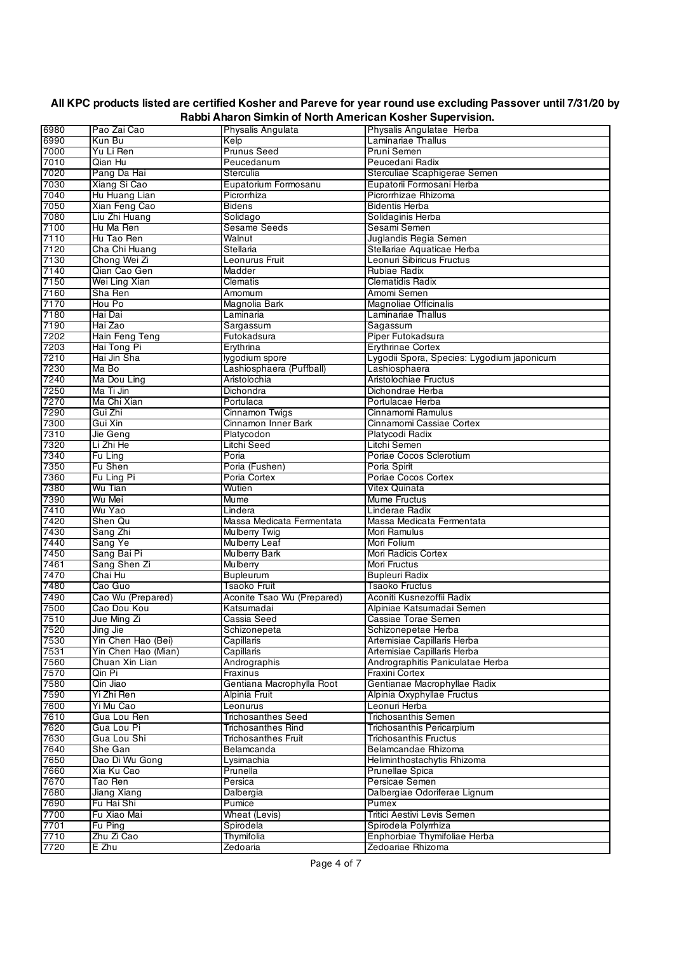|      |                     |                            | <b>Call Rooner Capel visions</b>           |
|------|---------------------|----------------------------|--------------------------------------------|
| 6980 | Pao Zai Cao         | Physalis Angulata          | Physalis Angulatae Herba                   |
| 6990 | Kun Bu              | Kelp                       | Laminariae Thallus                         |
| 7000 | Yu Li Ren           | <b>Prunus Seed</b>         | Pruni Semen                                |
| 7010 | Qian Hu             | Peucedanum                 | Peucedani Radix                            |
| 7020 | Pang Da Hai         | Sterculia                  | Sterculiae Scaphigerae Semen               |
|      |                     |                            |                                            |
| 7030 | Xiang Si Cao        | Eupatorium Formosanu       | Eupatorii Formosani Herba                  |
| 7040 | Hu Huang Lian       | Picrorrhiza                | Picrorrhizae Rhizoma                       |
| 7050 | Xian Feng Cao       | Bidens                     | <b>Bidentis Herba</b>                      |
| 7080 | Liu Zhi Huang       | Solidago                   | Solidaginis Herba                          |
| 7100 |                     |                            |                                            |
|      | Hu Ma Ren           | <b>Sesame Seeds</b>        | Sesami Semen                               |
| 7110 | Hu Tao Ren          | Walnut                     | Juglandis Regia Semen                      |
| 7120 | Cha Chi Huang       | Stellaria                  | Stellariae Aquaticae Herba                 |
| 7130 | Chong Wei Zi        | Leonurus Fruit             | Leonuri Sibiricus Fructus                  |
| 7140 | Qian Cao Gen        | Madder                     | Rubiae Radix                               |
|      |                     |                            |                                            |
| 7150 | Wei Ling Xian       | Clematis                   | Clematidis Radix                           |
| 7160 | Sha Ren             | Amomum                     | Amomi Semen                                |
| 7170 | Hou Po              | Magnolia Bark              | <b>Magnoliae Officinalis</b>               |
| 7180 | Hai Dai             | Laminaria                  | Laminariae Thallus                         |
|      |                     |                            |                                            |
| 7190 | Hai Zao             | Sargassum                  | Sagassum                                   |
| 7202 | Hain Feng Teng      | Futokadsura                | Piper Futokadsura                          |
| 7203 | Hai Tong Pi         | Erythrina                  | <b>Erythrinae Cortex</b>                   |
| 7210 | Hai Jin Sha         | lygodium spore             | Lygodii Spora, Species: Lygodium japonicum |
| 7230 | Ma Bo               | Lashiosphaera (Puffball)   | Lashiosphaera                              |
|      |                     |                            | Aristolochiae Fructus                      |
| 7240 | Ma Dou Ling         | Aristolochia               |                                            |
| 7250 | Ma Ti Jin           | Dichondra                  | Dichondrae Herba                           |
| 7270 | Ma Chi Xian         | Portulaca                  | Portulacae Herba                           |
| 7290 | Gui Zhi             | <b>Cinnamon Twigs</b>      | Cinnamomi Ramulus                          |
| 7300 | Gui Xin             | Cinnamon Inner Bark        | Cinnamomi Cassiae Cortex                   |
|      |                     |                            |                                            |
| 7310 | Jie Geng            | Platycodon                 | Platycodi Radix                            |
| 7320 | Li Zhi He           | Litchi Seed                | Litchi Semen                               |
| 7340 | Fu Ling             | Poria                      | Poriae Cocos Sclerotium                    |
| 7350 | Fu Shen             | Poria (Fushen)             | Poria Spirit                               |
| 7360 |                     | Poria Cortex               | Poriae Cocos Cortex                        |
|      | Fu Ling Pi          |                            |                                            |
| 7380 | Wu Tian             | Wutien                     | Vitex Quinata                              |
| 7390 | Wu Mei              | Mume                       | Mume Fructus                               |
| 7410 | Wu Yao              | Lindera                    | Linderae Radix                             |
| 7420 | Shen Qu             | Massa Medicata Fermentata  | Massa Medicata Fermentata                  |
|      |                     |                            |                                            |
| 7430 | Sang Zhi            | <b>Mulberry Twig</b>       | Mori Ramulus                               |
| 7440 | Sang Ye             | Mulberry Leaf              | Mori Folium                                |
| 7450 | Sang Bai Pi         | <b>Mulberry Bark</b>       | Mori Radicis Cortex                        |
| 7461 | Sang Shen Zi        | Mulberry                   | Mori Fructus                               |
| 7470 | Chai Hu             | <b>Bupleurum</b>           | <b>Bupleuri Radix</b>                      |
|      |                     |                            |                                            |
| 7480 | Cao Guo             | <b>Tsaoko Fruit</b>        | <b>Tsaoko Fructus</b>                      |
| 7490 | Cao Wu (Prepared)   | Aconite Tsao Wu (Prepared) | Aconiti Kusnezoffii Radix                  |
| 7500 | Cao Dou Kou         | Katsumadai                 | Alpiniae Katsumadai Semen                  |
| 7510 | Jue Ming Zi         | Cassia Seed                | Cassiae Torae Semen                        |
|      |                     |                            |                                            |
| 7520 | Jing Jie            | Schizonepeta               | Schizonepetae Herba                        |
| 7530 | Yin Chen Hao (Bei)  | Capillaris                 | Artemisiae Capillaris Herba                |
| 7531 | Yin Chen Hao (Mian) | Capillaris                 | Artemisiae Capillaris Herba                |
| 7560 | Chuan Xin Lian      | Andrographis               | Andrographitis Paniculatae Herba           |
| 7570 | Qin Pi              | Fraxinus                   | Fraxini Cortex                             |
| 7580 | Qin Jiao            | Gentiana Macrophylla Root  | Gentianae Macrophyllae Radix               |
|      |                     |                            |                                            |
| 7590 | Yi Zhi Ren          | Alpinia Fruit              | Alpinia Oxyphyllae Fructus                 |
| 7600 | Yi Mu Cao           | Leonurus                   | Leonuri Herba                              |
| 7610 | Gua Lou Ren         | <b>Trichosanthes Seed</b>  | <b>Trichosanthis Semen</b>                 |
| 7620 | Gua Lou Pi          | <b>Trichosanthes Rind</b>  | Trichosanthis Pericarpium                  |
|      |                     |                            |                                            |
| 7630 | Gua Lou Shi         | <b>Trichosanthes Fruit</b> | <b>Trichosanthis Fructus</b>               |
| 7640 | She Gan             | Belamcanda                 | Belamcandae Rhizoma                        |
| 7650 | Dao Di Wu Gong      | Lysimachia                 | Heliminthostachytis Rhizoma                |
| 7660 | Xia Ku Cao          | Prunella                   | Prunellae Spica                            |
| 7670 | Tao Ren             | Persica                    | Persicae Semen                             |
|      |                     |                            |                                            |
| 7680 | Jiang Xiang         | Dalbergia                  | Dalbergiae Odoriferae Lignum               |
| 7690 | Fu Hai Shi          | Pumice                     | Pumex                                      |
| 7700 | Fu Xiao Mai         | Wheat (Levis)              | Tritici Aestivi Levis Semen                |
| 7701 | Fu Ping             | Spirodela                  | Spirodela Polyrrhiza                       |
| 7710 | Zhu Zi Cao          | Thymifolia                 | Enphorbiae Thymifoliae Herba               |
|      |                     |                            |                                            |
| 7720 | E Zhu               | Zedoaria                   | Zedoariae Rhizoma                          |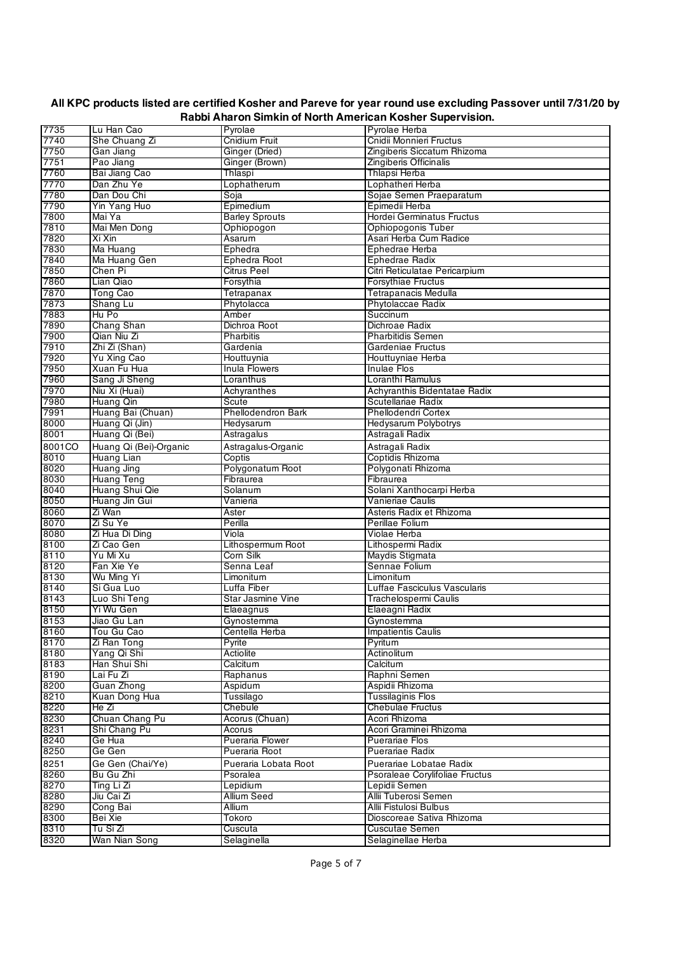| 7735   | Lu Han Cao             | Pyrolae                   | Pyrolae Herba                  |
|--------|------------------------|---------------------------|--------------------------------|
| 7740   | She Chuang Zi          | Cnidium Fruit             | Cnidii Monnieri Fructus        |
| 7750   | Gan Jiang              | Ginger (Dried)            | Zingiberis Siccatum Rhizoma    |
| 7751   | Pao Jiang              | Ginger (Brown)            | Zingiberis Officinalis         |
| 7760   | Bai Jiang Cao          | Thlaspi                   | Thlapsi Herba                  |
| 7770   | Dan Zhu Ye             | Lophatherum               | Lophatheri Herba               |
| 7780   | Dan Dou Chi            | Soja                      | Sojae Semen Praeparatum        |
| 7790   | Yin Yang Huo           | Epimedium                 | Epimedii Herba                 |
| 7800   | Mai Ya                 | <b>Barley Sprouts</b>     | Hordei Germinatus Fructus      |
| 7810   | Mai Men Dong           | Ophiopogon                | Ophiopogonis Tuber             |
| 7820   | Xi Xin                 | Asarum                    | Asari Herba Cum Radice         |
| 7830   | Ma Huang               | Ephedra                   | Ephedrae Herba                 |
| 7840   | Ma Huang Gen           | Ephedra Root              | Ephedrae Radix                 |
| 7850   | Chen Pi                | <b>Citrus Peel</b>        | Citri Reticulatae Pericarpium  |
| 7860   | Lian Qiao              | Forsythia                 | <b>Forsythiae Fructus</b>      |
| 7870   | <b>Tong Cao</b>        | Tetrapanax                | Tetrapanacis Medulla           |
| 7873   | Shang Lu               | Phytolacca                | Phytolaccae Radix              |
| 7883   | Hu Po                  | Amber                     | Succinum                       |
| 7890   | Chang Shan             | Dichroa Root              | Dichroae Radix                 |
| 7900   | Qian Niu Zi            | Pharbitis                 | <b>Pharbitidis Semen</b>       |
| 7910   | Zhi Zi (Shan)          | Gardenia                  | Gardeniae Fructus              |
| 7920   | Yu Xing Cao            | Houttuynia                | Houttuyniae Herba              |
| 7950   | Xuan Fu Hua            | Inula Flowers             | Inulae Flos                    |
| 7960   | Sang Ji Sheng          | Loranthus                 | Loranthi Ramulus               |
| 7970   | Niu Xi (Huai)          | Achyranthes               | Achyranthis Bidentatae Radix   |
| 7980   | Huang Qin              | Scute                     | Scutellariae Radix             |
| 7991   | Huang Bai (Chuan)      | <b>Phellodendron Bark</b> | Phellodendri Cortex            |
| 8000   | Huang Qi (Jin)         | Hedysarum                 | Hedysarum Polybotrys           |
| 8001   | Huang Qi (Bei)         | Astragalus                | Astragali Radix                |
| 8001CO | Huang Qi (Bei)-Organic | Astragalus-Organic        | Astragali Radix                |
| 8010   | Huang Lian             | Coptis                    | Coptidis Rhizoma               |
| 8020   | Huang Jing             | Polygonatum Root          | Polygonati Rhizoma             |
| 8030   | <b>Huang Teng</b>      | Fibraurea                 | Fibraurea                      |
| 8040   | Huang Shui Qie         | Solanum                   | Solani Xanthocarpi Herba       |
| 8050   | Huang Jin Gui          | Vanieria                  | Vanieriae Caulis               |
| 8060   | Zi Wan                 | Aster                     | Asteris Radix et Rhizoma       |
| 8070   | Zi Su Ye               | Perilla                   | Perillae Folium                |
| 8080   | Zi Hua Di Ding         | Viola                     | Violae Herba                   |
| 8100   | Zi Cao Gen             | Lithospermum Root         | Lithospermi Radix              |
| 8110   | Yu Mi Xu               | Corn Silk                 | Maydis Stigmata                |
| 8120   | Fan Xie Ye             | Senna Leaf                | Sennae Folium                  |
| 8130   | Wu Ming Yi             | Limonitum                 | Limonitum                      |
| 8140   | Si Gua Luo             | Luffa Fiber               | Luffae Fasciculus Vascularis   |
| 8143   | Luo Shi Teng           | <b>Star Jasmine Vine</b>  | Trachelospermi Caulis          |
| 8150   | Yi Wu Gen              | Elaeagnus                 | Elaeagni Radix                 |
| 8153   | Jiao Gu Lan            | Gynostemma                | Gynostemma                     |
| 8160   | Tou Gu Cao             | Centella Herba            | <b>Impatientis Caulis</b>      |
| 8170   | Zi Ran Tong            | Pyrite                    | Pyritum                        |
| 8180   | Yang Qi Shi            | Actiolite                 | Actinolitum                    |
| 8183   | Han Shui Shi           | Calcitum                  | Calcitum                       |
| 8190   | Lai Fu Zi              | Raphanus                  | Raphni Semen                   |
| 8200   | Guan Zhong             | Aspidum                   | Aspidii Rhizoma                |
| 8210   | Kuan Dong Hua          | Tussilago                 | <b>Tussilaginis Flos</b>       |
| 8220   | He Zi                  | Chebule                   | <b>Chebulae Fructus</b>        |
| 8230   | Chuan Chang Pu         | Acorus (Chuan)            | Acori Rhizoma                  |
| 8231   | Shi Chang Pu           | Acorus                    | Acori Graminei Rhizoma         |
| 8240   | Ge Hua                 | Pueraria Flower           | <b>Puerariae Flos</b>          |
| 8250   | Ge Gen                 | Pueraria Root             | <b>Puerariae Radix</b>         |
| 8251   | Ge Gen (Chai/Ye)       | Pueraria Lobata Root      | Puerariae Lobatae Radix        |
| 8260   | Bu Gu Zhi              | Psoralea                  | Psoraleae Corylifoliae Fructus |
| 8270   | Ting Li Zi             | Lepidium                  | Lepidii Semen                  |
| 8280   | Jiu Cai Zi             | Allium Seed               | Allii Tuberosi Semen           |
| 8290   | Cong Bai               | Allium                    | Allii Fistulosi Bulbus         |
| 8300   | Bei Xie                | Tokoro                    | Dioscoreae Sativa Rhizoma      |
| 8310   | Tu Si Zi               | Cuscuta                   | Cuscutae Semen                 |
| 8320   | Wan Nian Song          | Selaginella               | Selaginellae Herba             |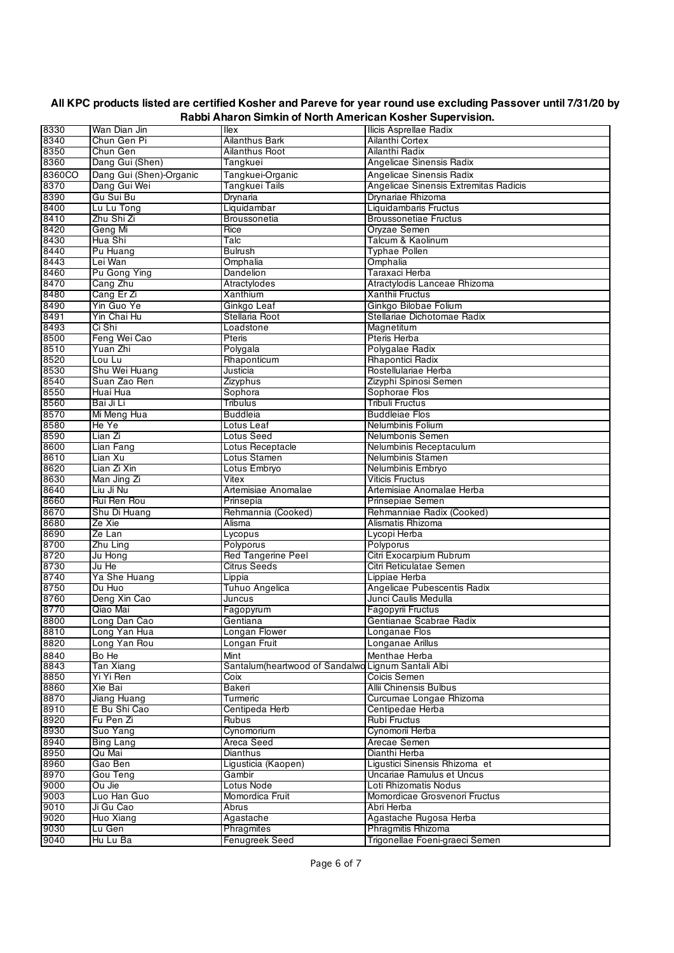| 8330         | Wan Dian Jin                  | llex                                                       | Ilicis Asprellae Radix                              |
|--------------|-------------------------------|------------------------------------------------------------|-----------------------------------------------------|
| 8340         | Chun Gen Pi                   | Ailanthus Bark                                             | Ailanthi Cortex                                     |
| 8350         | Chun Gen                      | <b>Ailanthus Root</b>                                      | Ailanthi Radix                                      |
| 8360         | Dang Gui (Shen)               | Tangkuei                                                   | Angelicae Sinensis Radix                            |
| 8360CO       | Dang Gui (Shen)-Organic       | Tangkuei-Organic                                           | Angelicae Sinensis Radix                            |
| 8370         | Dang Gui Wei                  | Tangkuei Tails                                             | Angelicae Sinensis Extremitas Radicis               |
| 8390         | Gu Sui Bu                     | Drynaria                                                   | Drvnariae Rhizoma                                   |
| 8400         | Lu Lu Tong                    | Liquidambar                                                | Liquidambaris Fructus                               |
| 8410         | Zhu Shi Zi                    | Broussonetia                                               | <b>Broussonetiae Fructus</b>                        |
| 8420         | Geng Mi                       | Rice                                                       | Oryzae Semen                                        |
| 8430         | Hua Shi                       | Talc                                                       | Talcum & Kaolinum                                   |
| 8440         | Pu Huang                      | Bulrush                                                    | Typhae Pollen                                       |
| 8443         | Lei Wan                       | Omphalia                                                   | Omphalia                                            |
| 8460         | Pu Gong Ying                  | Dandelion                                                  | Taraxaci Herba                                      |
| 8470         | Cang Zhu                      | Atractylodes                                               | Atractylodis Lanceae Rhizoma                        |
| 8480         | Cang Er Zi                    | Xanthium                                                   | Xanthii Fructus                                     |
| 8490         | Yin Guo Ye                    | Ginkgo Leaf                                                | Ginkgo Bilobae Folium                               |
| 8491         | Yin Chai Hu                   | Stellaria Root                                             | Stellariae Dichotomae Radix                         |
| 8493         | Ci Shi                        | Loadstone                                                  | Magnetitum                                          |
| 8500         | Feng Wei Cao                  | Pteris                                                     | Pteris Herba                                        |
| 8510         | Yuan Zhi                      | Polygala                                                   | Polygalae Radix                                     |
| 8520         | Lou Lu                        | Rhaponticum                                                | <b>Rhapontici Radix</b>                             |
| 8530         | Shu Wei Huang                 | Justicia                                                   | Rostellulariae Herba                                |
| 8540         | Suan Zao Ren                  | Zizyphus                                                   | Zizyphi Spinosi Semen                               |
| 8550         | Huai Hua                      | Sophora                                                    | Sophorae Flos                                       |
| 8560         | Bai Ji Li                     | Tribulus                                                   | Tribuli Fructus                                     |
| 8570         | Mi Meng Hua                   | <b>Buddleia</b>                                            | <b>Buddleiae Flos</b>                               |
| 8580         | He Ye                         | Lotus Leaf                                                 | Nelumbinis Folium                                   |
| 8590         | Lian Zi                       | Lotus Seed                                                 | Nelumbonis Semen                                    |
| 8600         | Lian Fang                     | Lotus Receptacle                                           | Nelumbinis Receptaculum                             |
| 8610         | Lian Xu                       | Lotus Stamen                                               | Nelumbinis Stamen                                   |
| 8620         | Lian Zi Xin                   | Lotus Embryo                                               | Nelumbinis Embryo                                   |
| 8630         | Man Jing Zi                   | Vitex                                                      | <b>Viticis Fructus</b>                              |
| 8640         | Liu Ji Nu                     | Artemisiae Anomalae                                        | Artemisiae Anomalae Herba                           |
| 8660         | Rui Ren Rou                   | Prinsepia                                                  | Prinsepiae Semen                                    |
| 8670         | Shu Di Huang                  | Rehmannia (Cooked)                                         | Rehmanniae Radix (Cooked)                           |
| 8680         | Ze Xie                        | Alisma                                                     | Alismatis Rhizoma                                   |
| 8690         | Ze Lan                        | Lycopus                                                    | Lycopi Herba                                        |
| 8700         | Zhu Ling                      | Polyporus                                                  | Polyporus                                           |
| 8720         | Ju Hong<br>Ju He              | <b>Red Tangerine Peel</b>                                  | Citri Exocarpium Rubrum                             |
| 8730         |                               | <b>Citrus Seeds</b>                                        | Citri Reticulatae Semen<br>Lippiae Herba            |
| 8740         | Ya She Huang                  | Lippia                                                     |                                                     |
| 8750<br>8760 | Du Huo<br>Deng Xin Cao        | Tuhuo Angelica<br>Juncus                                   | Angelicae Pubescentis Radix<br>Junci Caulis Medulla |
| 8770         | Qiao Mai                      |                                                            | Fagopyrii Fructus                                   |
| 8800         |                               | Fagopyrum<br>Gentiana                                      | Gentianae Scabrae Radix                             |
| 8810         | Long Dan Cao<br>Long Yan Hua  | Longan Flower                                              | Longanae Flos                                       |
|              |                               |                                                            |                                                     |
| 8820         | Long Yan Rou                  | Longan Fruit                                               | Longanae Arillus                                    |
| 8840         | Bo He                         | Mint                                                       | Menthae Herba                                       |
| 8843<br>8850 | <b>Tan Xiang</b><br>Yi Yi Ren | Santalum(heartwood of Sandalwo Lignum Santali Albi<br>Coix | Coicis Semen                                        |
| 8860         | Xie Bai                       | Bakeri                                                     | Allii Chinensis Bulbus                              |
|              |                               | Turmeric                                                   |                                                     |
| 8870<br>8910 | Jiang Huang<br>E Bu Shi Cao   | Centipeda Herb                                             | Curcumae Longae Rhizoma<br>Centipedae Herba         |
| 8920         | Fu Pen Zi                     | Rubus                                                      | <b>Rubi Fructus</b>                                 |
| 8930         | Suo Yang                      | Cynomorium                                                 | Cynomorii Herba                                     |
| 8940         | <b>Bing Lang</b>              | Areca Seed                                                 | Arecae Semen                                        |
| 8950         | Qu Mai                        | <b>Dianthus</b>                                            | Dianthi Herba                                       |
| 8960         | Gao Ben                       | Ligusticia (Kaopen)                                        | Liqustici Sinensis Rhizoma et                       |
| 8970         | Gou Teng                      | Gambir                                                     | Uncariae Ramulus et Uncus                           |
| 9000         | Ou Jie                        | Lotus Node                                                 | Loti Rhizomatis Nodus                               |
| 9003         | Luo Han Guo                   | Momordica Fruit                                            | Momordicae Grosvenori Fructus                       |
| 9010         | Ji Gu Cao                     | Abrus                                                      | Abri Herba                                          |
| 9020         | Huo Xiang                     | Agastache                                                  | Agastache Rugosa Herba                              |
| 9030         | Lu Gen                        | Phragmites                                                 | Phragmitis Rhizoma                                  |
| 9040         | Hu Lu Ba                      | Fenugreek Seed                                             | Trigonellae Foeni-graeci Semen                      |